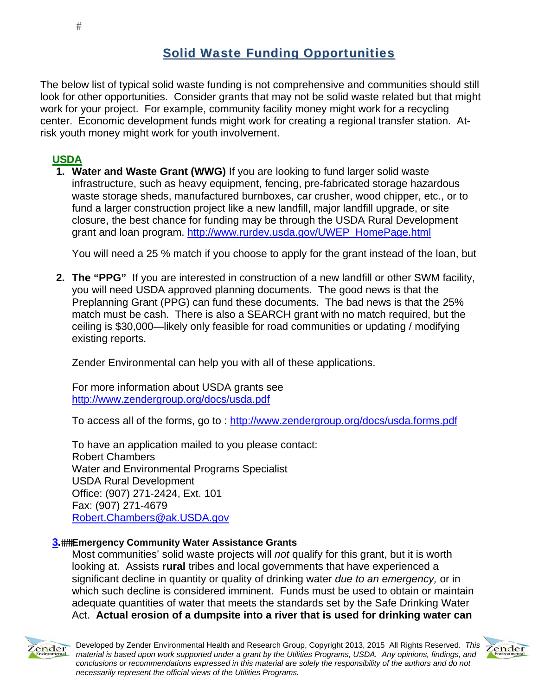$#$ 

# Solid Waste Funding Opportunities

The below list of typical solid waste funding is not comprehensive and communities should still look for other opportunities. Consider grants that may not be solid waste related but that might work for your project. For example, community facility money might work for a recycling center. Economic development funds might work for creating a regional transfer station. Atrisk youth money might work for youth involvement.

### **USDA**

**1. Water and Waste Grant (WWG)** If you are looking to fund larger solid waste infrastructure, such as heavy equipment, fencing, pre-fabricated storage hazardous waste storage sheds, manufactured burnboxes, car crusher, wood chipper, etc., or to fund a larger construction project like a new landfill, major landfill upgrade, or site closure, the best chance for funding may be through the USDA Rural Development grant and loan program. http://www.rurdev.usda.gov/UWEP\_HomePage.html

You will need a 25 % match if you choose to apply for the grant instead of the loan, but

**2. The "PPG"** If you are interested in construction of a new landfill or other SWM facility, you will need USDA approved planning documents. The good news is that the Preplanning Grant (PPG) can fund these documents. The bad news is that the 25% match must be cash. There is also a SEARCH grant with no match required, but the ceiling is \$30,000—likely only feasible for road communities or updating / modifying existing reports.

Zender Environmental can help you with all of these applications.

For more information about USDA grants see http://www.zendergroup.org/docs/usda.pdf

To access all of the forms, go to : http://www.zendergroup.org/docs/usda.forms.pdf

To have an application mailed to you please contact: Robert Chambers Water and Environmental Programs Specialist USDA Rural Development Office: (907) 271-2424, Ext. 101 Fax: (907) 271-4679 Robert.Chambers@ak.USDA.gov

#### **3.Emergency Community Water Assistance Grants**

Most communities' solid waste projects will *not* qualify for this grant, but it is worth looking at. Assists **rural** tribes and local governments that have experienced a significant decline in quantity or quality of drinking water *due to an emergency,* or in which such decline is considered imminent. Funds must be used to obtain or maintain adequate quantities of water that meets the standards set by the Safe Drinking Water Act. **Actual erosion of a dumpsite into a river that is used for drinking water can** 



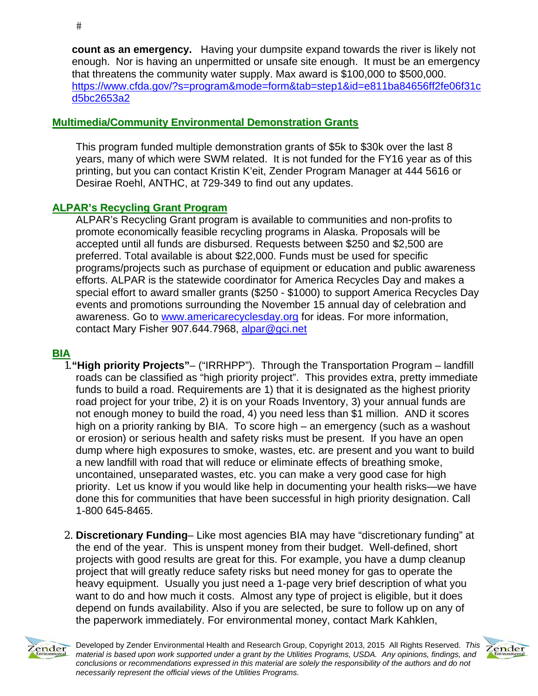**count as an emergency.** Having your dumpsite expand towards the river is likely not enough. Nor is having an unpermitted or unsafe site enough. It must be an emergency that threatens the community water supply. Max award is \$100,000 to \$500,000. https://www.cfda.gov/?s=program&mode=form&tab=step1&id=e811ba84656ff2fe06f31c d5bc2653a2

### **Multimedia/Community Environmental Demonstration Grants**

This program funded multiple demonstration grants of \$5k to \$30k over the last 8 years, many of which were SWM related. It is not funded for the FY16 year as of this printing, but you can contact Kristin K'eit, Zender Program Manager at 444 5616 or Desirae Roehl, ANTHC, at 729-349 to find out any updates.

### **ALPAR's Recycling Grant Program**

ALPAR's Recycling Grant program is available to communities and non-profits to promote economically feasible recycling programs in Alaska. Proposals will be accepted until all funds are disbursed. Requests between \$250 and \$2,500 are preferred. Total available is about \$22,000. Funds must be used for specific programs/projects such as purchase of equipment or education and public awareness efforts. ALPAR is the statewide coordinator for America Recycles Day and makes a special effort to award smaller grants (\$250 - \$1000) to support America Recycles Day events and promotions surrounding the November 15 annual day of celebration and awareness. Go to www.americarecyclesday.org for ideas. For more information, contact Mary Fisher 907.644.7968, alpar@gci.net

### **BIA**

- 1.**"High priority Projects"** ("IRRHPP"). Through the Transportation Program landfill roads can be classified as "high priority project". This provides extra, pretty immediate funds to build a road. Requirements are 1) that it is designated as the highest priority road project for your tribe, 2) it is on your Roads Inventory, 3) your annual funds are not enough money to build the road, 4) you need less than \$1 million. AND it scores high on a priority ranking by BIA. To score high – an emergency (such as a washout or erosion) or serious health and safety risks must be present. If you have an open dump where high exposures to smoke, wastes, etc. are present and you want to build a new landfill with road that will reduce or eliminate effects of breathing smoke, uncontained, unseparated wastes, etc. you can make a very good case for high priority. Let us know if you would like help in documenting your health risks—we have done this for communities that have been successful in high priority designation. Call 1-800 645-8465.
- 2. **Discretionary Funding** Like most agencies BIA may have "discretionary funding" at the end of the year. This is unspent money from their budget. Well-defined, short projects with good results are great for this. For example, you have a dump cleanup project that will greatly reduce safety risks but need money for gas to operate the heavy equipment. Usually you just need a 1-page very brief description of what you want to do and how much it costs. Almost any type of project is eligible, but it does depend on funds availability. Also if you are selected, be sure to follow up on any of the paperwork immediately. For environmental money, contact Mark Kahklen,



Developed by Zender Environmental Health and Research Group, Copyright 2013, 2015 All Rights Reserved. *This material is based upon work supported under a grant by the Utilities Programs, USDA. Any opinions, findings, and conclusions or recommendations expressed in this material are solely the responsibility of the authors and do not necessarily represent the official views of the Utilities Programs.*

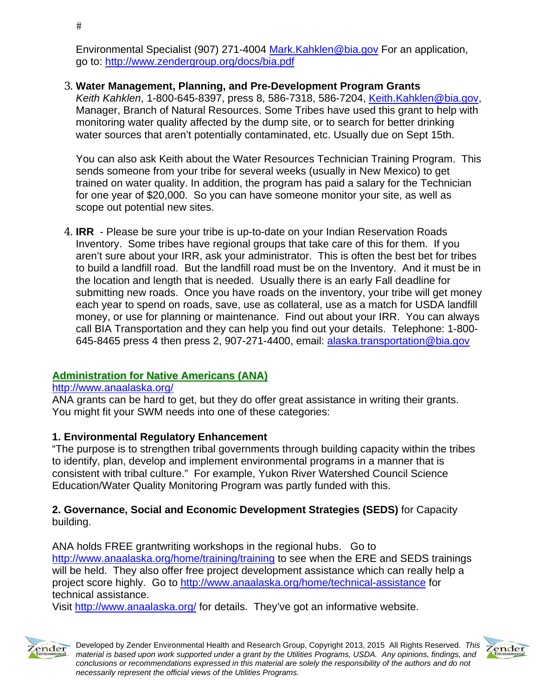Environmental Specialist (907) 271-4004 Mark.Kahklen@bia.gov For an application, go to: http://www.zendergroup.org/docs/bia.pdf

### 3. **Water Management, Planning, and Pre-Development Program Grants**

*Keith Kahklen*, 1-800-645-8397, press 8, 586-7318, 586-7204, Keith.Kahklen@bia.gov, Manager, Branch of Natural Resources. Some Tribes have used this grant to help with monitoring water quality affected by the dump site, or to search for better drinking water sources that aren't potentially contaminated, etc. Usually due on Sept 15th.

You can also ask Keith about the Water Resources Technician Training Program. This sends someone from your tribe for several weeks (usually in New Mexico) to get trained on water quality. In addition, the program has paid a salary for the Technician for one year of \$20,000. So you can have someone monitor your site, as well as scope out potential new sites.

4. **IRR** - Please be sure your tribe is up-to-date on your Indian Reservation Roads Inventory. Some tribes have regional groups that take care of this for them. If you aren't sure about your IRR, ask your administrator. This is often the best bet for tribes to build a landfill road. But the landfill road must be on the Inventory. And it must be in the location and length that is needed. Usually there is an early Fall deadline for submitting new roads. Once you have roads on the inventory, your tribe will get money each year to spend on roads, save, use as collateral, use as a match for USDA landfill money, or use for planning or maintenance. Find out about your IRR. You can always call BIA Transportation and they can help you find out your details. Telephone: 1-800- 645-8465 press 4 then press 2, 907-271-4400, email: alaska.transportation@bia.gov

### **Administration for Native Americans (ANA)**

### http://www.anaalaska.org/

ANA grants can be hard to get, but they do offer great assistance in writing their grants. You might fit your SWM needs into one of these categories:

### **1. Environmental Regulatory Enhancement**

"The purpose is to strengthen tribal governments through building capacity within the tribes to identify, plan, develop and implement environmental programs in a manner that is consistent with tribal culture." For example, Yukon River Watershed Council Science Education/Water Quality Monitoring Program was partly funded with this.

#### **2. Governance, Social and Economic Development Strategies (SEDS)** for Capacity building.

ANA holds FREE grantwriting workshops in the regional hubs. Go to http://www.anaalaska.org/home/training/training to see when the ERE and SEDS trainings will be held.They also offer free project development assistance which can really help a project score highly. Go to http://www.anaalaska.org/home/technical-assistance for technical assistance.

Visit http://www.anaalaska.org/ for details. They've got an informative website.



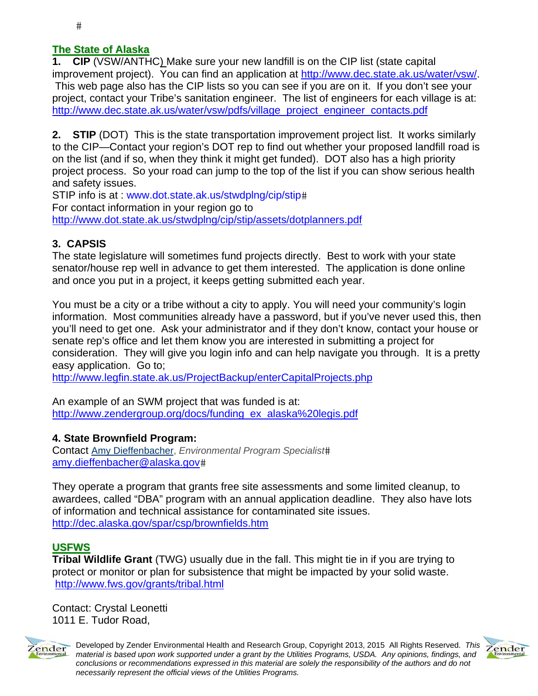### **The State of Alaska**

**1. CIP** (VSW/ANTHC) Make sure your new landfill is on the CIP list (state capital improvement project). You can find an application at http://www.dec.state.ak.us/water/vsw/. This web page also has the CIP lists so you can see if you are on it. If you don't see your project, contact your Tribe's sanitation engineer. The list of engineers for each village is at: http://www.dec.state.ak.us/water/vsw/pdfs/village\_project\_engineer\_contacts.pdf

**2. STIP** (DOT) This is the state transportation improvement project list. It works similarly to the CIP—Contact your region's DOT rep to find out whether your proposed landfill road is on the list (and if so, when they think it might get funded). DOT also has a high priority project process. So your road can jump to the top of the list if you can show serious health and safety issues.

STIP info is at : www.dot.state.ak.us/stwdplng/cip/stip# For contact information in your region go to http://www.dot.state.ak.us/stwdplng/cip/stip/assets/dotplanners.pdf

### **3. CAPSIS**

The state legislature will sometimes fund projects directly. Best to work with your state senator/house rep well in advance to get them interested. The application is done online and once you put in a project, it keeps getting submitted each year.

You must be a city or a tribe without a city to apply. You will need your community's login information. Most communities already have a password, but if you've never used this, then you'll need to get one. Ask your administrator and if they don't know, contact your house or senate rep's office and let them know you are interested in submitting a project for consideration. They will give you login info and can help navigate you through. It is a pretty easy application. Go to;

http://www.legfin.state.ak.us/ProjectBackup/enterCapitalProjects.php

An example of an SWM project that was funded is at: http://www.zendergroup.org/docs/funding\_ex\_alaska%20legis.pdf

### **4. State Brownfield Program:**

Contact Amy Dieffenbacher, *Environmental Program Specialist* amy.dieffenbacher@alaska.gov

They operate a program that grants free site assessments and some limited cleanup, to awardees, called "DBA" program with an annual application deadline. They also have lots of information and technical assistance for contaminated site issues. http://dec.alaska.gov/spar/csp/brownfields.htm

### **USFWS**

**Tribal Wildlife Grant** (TWG) usually due in the fall. This might tie in if you are trying to protect or monitor or plan for subsistence that might be impacted by your solid waste. http://www.fws.gov/grants/tribal.html

Contact: Crystal Leonetti 1011 E. Tudor Road,





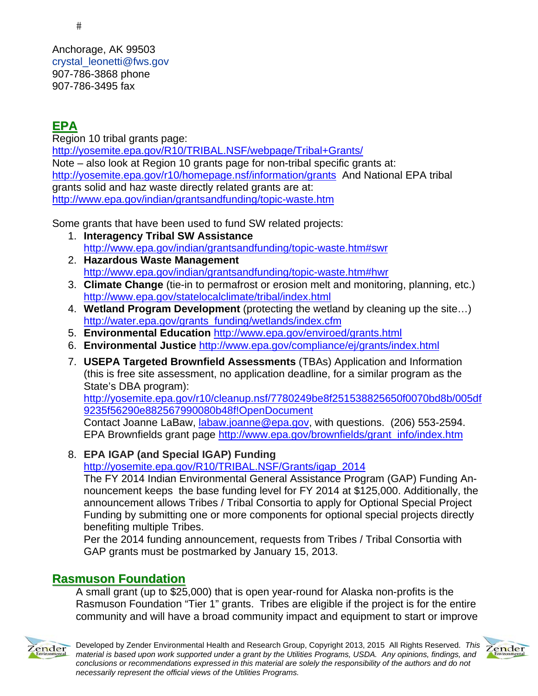Anchorage, AK 99503 crystal\_leonetti@fws.gov 907-786-3868 phone 907-786-3495 fax

# **EPA**

Region 10 tribal grants page: http://yosemite.epa.gov/R10/TRIBAL.NSF/webpage/Tribal+Grants/ Note – also look at Region 10 grants page for non-tribal specific grants at: http://yosemite.epa.gov/r10/homepage.nsf/information/grants And National EPA tribal grants solid and haz waste directly related grants are at: http://www.epa.gov/indian/grantsandfunding/topic-waste.htm

Some grants that have been used to fund SW related projects:

- 1. **Interagency Tribal SW Assistance** http://www.epa.gov/indian/grantsandfunding/topic-waste.htm#swr
- 2. **Hazardous Waste Management** http://www.epa.gov/indian/grantsandfunding/topic-waste.htm#hwr
- 3. **Climate Change** (tie-in to permafrost or erosion melt and monitoring, planning, etc.) http://www.epa.gov/statelocalclimate/tribal/index.html
- 4. **Wetland Program Development** (protecting the wetland by cleaning up the site…) http://water.epa.gov/grants\_funding/wetlands/index.cfm
- 5. **Environmental Education** http://www.epa.gov/enviroed/grants.html
- 6. **Environmental Justice** http://www.epa.gov/compliance/ej/grants/index.html
- 7. **USEPA Targeted Brownfield Assessments** (TBAs) Application and Information (this is free site assessment, no application deadline, for a similar program as the State's DBA program):

http://yosemite.epa.gov/r10/cleanup.nsf/7780249be8f251538825650f0070bd8b/005df 9235f56290e882567990080b48f!OpenDocument

Contact Joanne LaBaw, *labaw.joanne@epa.gov*, with questions. (206) 553-2594. EPA Brownfields grant page http://www.epa.gov/brownfields/grant\_info/index.htm

### 8. **EPA IGAP (and Special IGAP) Funding**

http://yosemite.epa.gov/R10/TRIBAL.NSF/Grants/igap\_2014

The FY 2014 Indian Environmental General Assistance Program (GAP) Funding Announcement keeps the base funding level for FY 2014 at \$125,000. Additionally, the announcement allows Tribes / Tribal Consortia to apply for Optional Special Project Funding by submitting one or more components for optional special projects directly benefiting multiple Tribes.

Per the 2014 funding announcement, requests from Tribes / Tribal Consortia with GAP grants must be postmarked by January 15, 2013.

# **Rasmuson Foundation**

A small grant (up to \$25,000) that is open year-round for Alaska non-profits is the Rasmuson Foundation "Tier 1" grants. Tribes are eligible if the project is for the entire community and will have a broad community impact and equipment to start or improve



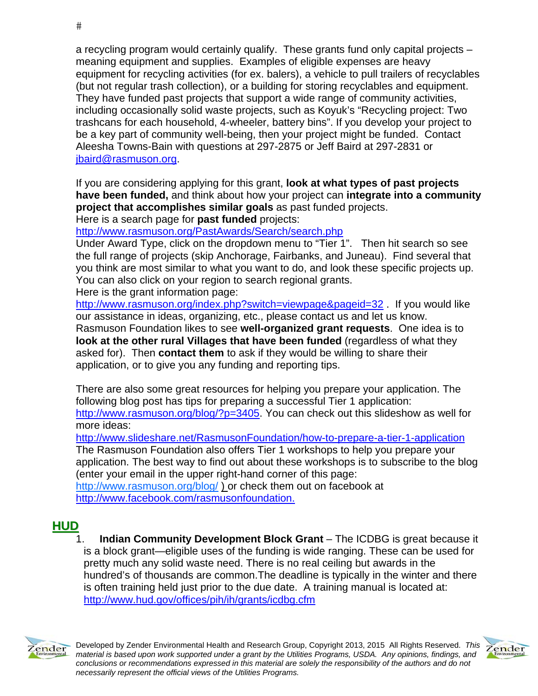a recycling program would certainly qualify. These grants fund only capital projects – meaning equipment and supplies. Examples of eligible expenses are heavy equipment for recycling activities (for ex. balers), a vehicle to pull trailers of recyclables (but not regular trash collection), or a building for storing recyclables and equipment. They have funded past projects that support a wide range of community activities, including occasionally solid waste projects, such as Koyuk's "Recycling project: Two trashcans for each household, 4-wheeler, battery bins". If you develop your project to be a key part of community well-being, then your project might be funded. Contact Aleesha Towns-Bain with questions at 297-2875 or Jeff Baird at 297-2831 or jbaird@rasmuson.org.

If you are considering applying for this grant, **look at what types of past projects have been funded,** and think about how your project can **integrate into a community project that accomplishes similar goals** as past funded projects.

Here is a search page for **past funded** projects:

http://www.rasmuson.org/PastAwards/Search/search.php

Under Award Type, click on the dropdown menu to "Tier 1". Then hit search so see the full range of projects (skip Anchorage, Fairbanks, and Juneau). Find several that you think are most similar to what you want to do, and look these specific projects up. You can also click on your region to search regional grants.

Here is the grant information page:

http://www.rasmuson.org/index.php?switch=viewpage&pageid=32. If you would like our assistance in ideas, organizing, etc., please contact us and let us know. Rasmuson Foundation likes to see **well-organized grant requests**. One idea is to **look at the other rural Villages that have been funded** (regardless of what they asked for). Then **contact them** to ask if they would be willing to share their application, or to give you any funding and reporting tips.

There are also some great resources for helping you prepare your application. The following blog post has tips for preparing a successful Tier 1 application: http://www.rasmuson.org/blog/?p=3405. You can check out this slideshow as well for more ideas:

http://www.slideshare.net/RasmusonFoundation/how-to-prepare-a-tier-1-application The Rasmuson Foundation also offers Tier 1 workshops to help you prepare your application. The best way to find out about these workshops is to subscribe to the blog (enter your email in the upper right-hand corner of this page: http://www.rasmuson.org/blog/ ) or check them out on facebook at

http://www.facebook.com/rasmusonfoundation.

# **HUD**

1. **Indian Community Development Block Grant** – The ICDBG is great because it is a block grant—eligible uses of the funding is wide ranging. These can be used for pretty much any solid waste need. There is no real ceiling but awards in the hundred's of thousands are common.The deadline is typically in the winter and there is often training held just prior to the due date. A training manual is located at: http://www.hud.gov/offices/pih/ih/grants/icdbg.cfm